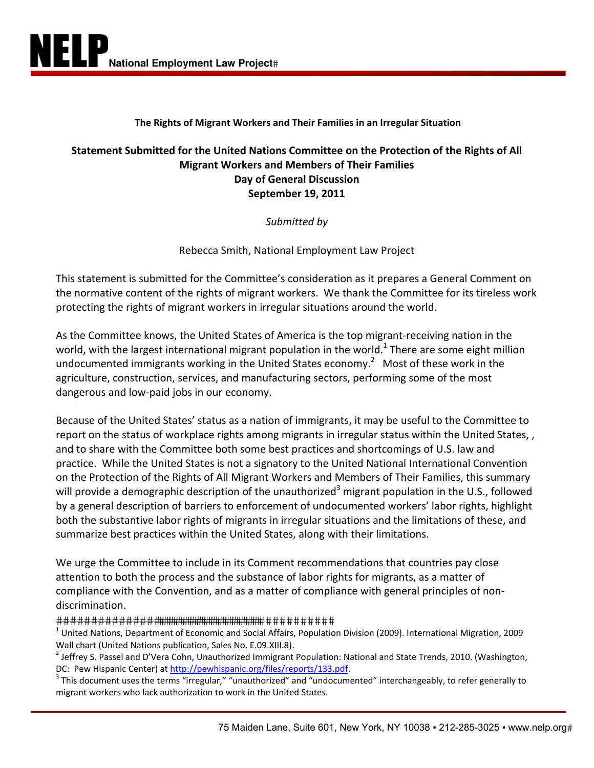## **The Rights of Migrant Workers and Their Families in an Irregular Situation**

# **Statement Submitted for the United Nations Committee on the Protection of the Rights of All Migrant Workers and Members of Their Families Day of General Discussion September 19, 2011**

*Submitted by*

Rebecca Smith, National Employment Law Project

This statement is submitted for the Committee's consideration as it prepares a General Comment on the normative content of the rights of migrant workers. We thank the Committee for its tireless work protecting the rights of migrant workers in irregular situations around the world.

As the Committee knows, the United States of America is the top migrant‐receiving nation in the world, with the largest international migrant population in the world.<sup>1</sup> There are some eight million undocumented immigrants working in the United States economy.<sup>2</sup> Most of these work in the agriculture, construction, services, and manufacturing sectors, performing some of the most dangerous and low‐paid jobs in our economy.

Because of the United States' status as a nation of immigrants, it may be useful to the Committee to report on the status of workplace rights among migrants in irregular status within the United States, , and to share with the Committee both some best practices and shortcomings of U.S. law and practice. While the United States is not a signatory to the United National International Convention on the Protection of the Rights of All Migrant Workers and Members of Their Families, this summary will provide a demographic description of the unauthorized<sup>3</sup> migrant population in the U.S., followed by a general description of barriers to enforcement of undocumented workers' labor rights, highlight both the substantive labor rights of migrants in irregular situations and the limitations of these, and summarize best practices within the United States, along with their limitations.

We urge the Committee to include in its Comment recommendations that countries pay close attention to both the process and the substance of labor rights for migrants, as a matter of compliance with the Convention, and as a matter of compliance with general principles of non‐ discrimination.

 $^1$  United Nations, Department of Economic and Social Affairs, Population Division (2009). International Migration, 2009 Wall chart (United Nations publication, Sales No. E.09.XIII.8).

<sup>2</sup> Jeffrey S. Passel and D'Vera Cohn, Unauthorized Immigrant Population: National and State Trends, 2010. (Washington, DC: Pew Hispanic Center) at http://pewhispanic.org/files/reports/133.pdf.

<sup>3</sup> This document uses the terms "irregular," "unauthorized" and "undocumented" interchangeably, to refer generally to migrant workers who lack authorization to work in the United States.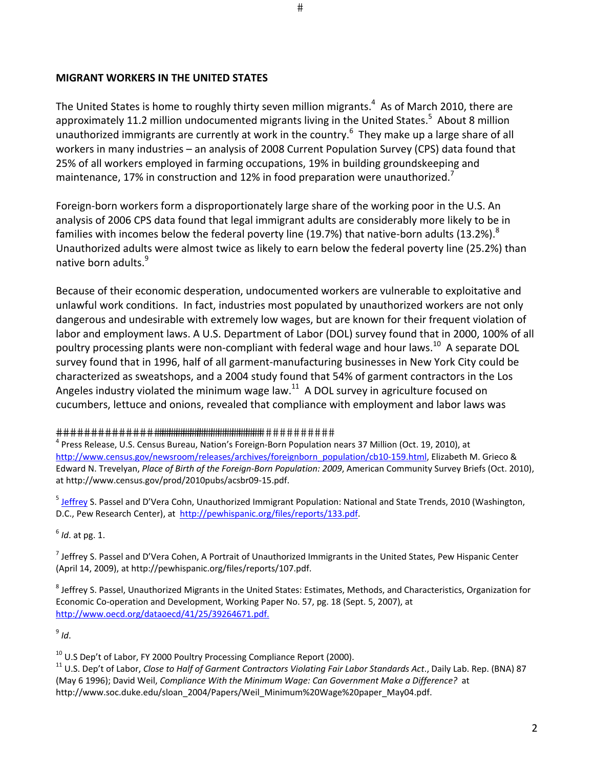### **MIGRANT WORKERS IN THE UNITED STATES**

The United States is home to roughly thirty seven million migrants.<sup>4</sup> As of March 2010, there are approximately 11.2 million undocumented migrants living in the United States.<sup>5</sup> About 8 million unauthorized immigrants are currently at work in the country.<sup>6</sup> They make up a large share of all workers in many industries – an analysis of 2008 Current Population Survey (CPS) data found that 25% of all workers employed in farming occupations, 19% in building groundskeeping and maintenance, 17% in construction and 12% in food preparation were unauthorized.<sup>7</sup>

Foreign-born workers form a disproportionately large share of the working poor in the U.S. An analysis of 2006 CPS data found that legal immigrant adults are considerably more likely to be in families with incomes below the federal poverty line (19.7%) that native-born adults (13.2%).<sup>8</sup> Unauthorized adults were almost twice as likely to earn below the federal poverty line (25.2%) than native born adults.<sup>9</sup>

Because of their economic desperation, undocumented workers are vulnerable to exploitative and unlawful work conditions. In fact, industries most populated by unauthorized workers are not only dangerous and undesirable with extremely low wages, but are known for their frequent violation of labor and employment laws. A U.S. Department of Labor (DOL) survey found that in 2000, 100% of all poultry processing plants were non-compliant with federal wage and hour laws.<sup>10</sup> A separate DOL survey found that in 1996, half of all garment‐manufacturing businesses in New York City could be characterized as sweatshops, and a 2004 study found that 54% of garment contractors in the Los Angeles industry violated the minimum wage law. $^{11}$  A DOL survey in agriculture focused on cucumbers, lettuce and onions, revealed that compliance with employment and labor laws was

#### 

<sup>4</sup> Press Release, U.S. Census Bureau, Nation's Foreign-Born Population nears 37 Million (Oct. 19, 2010), at http://www.census.gov/newsroom/releases/archives/foreignborn\_population/cb10-159.html, Elizabeth M. Grieco & Edward N. Trevelyan, *Place of Birth of the Foreign‐Born Population: 2009*, American Community Survey Briefs (Oct. 2010), at http://www.census.gov/prod/2010pubs/acsbr09‐15.pdf.

<sup>5</sup> Jeffrey S. Passel and D'Vera Cohn, Unauthorized Immigrant Population: National and State Trends, 2010 (Washington, D.C., Pew Research Center), at http://pewhispanic.org/files/reports/133.pdf.

6 *Id*. at pg. 1.

<sup>7</sup> Jeffrey S. Passel and D'Vera Cohen, A Portrait of Unauthorized Immigrants in the United States, Pew Hispanic Center (April 14, 2009), at http://pewhispanic.org/files/reports/107.pdf.

<sup>8</sup> Jeffrey S. Passel, Unauthorized Migrants in the United States: Estimates, Methods, and Characteristics, Organization for Economic Co‐operation and Development, Working Paper No. 57, pg. 18 (Sept. 5, 2007), at http://www.oecd.org/dataoecd/41/25/39264671.pdf.

9 *Id*.

 $10$  U.S Dep't of Labor, FY 2000 Poultry Processing Compliance Report (2000).

<sup>11</sup> U.S. Dep't of Labor, *Close to Half of Garment Contractors Violating Fair Labor Standards Act*., Daily Lab. Rep. (BNA) 87 (May 6 1996); David Weil, *Compliance With the Minimum Wage: Can Government Make a Difference?* at http://www.soc.duke.edu/sloan\_2004/Papers/Weil\_Minimum%20Wage%20paper\_May04.pdf.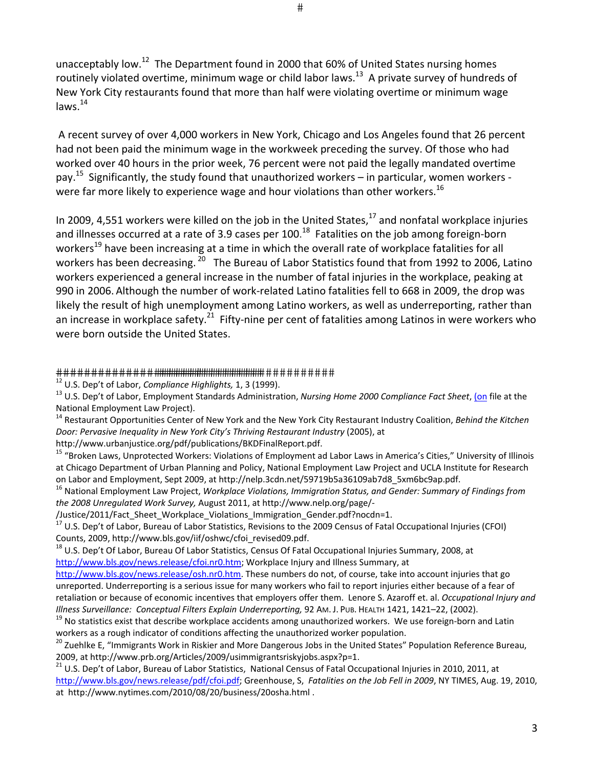unacceptably low.<sup>12</sup> The Department found in 2000 that 60% of United States nursing homes routinely violated overtime, minimum wage or child labor laws.<sup>13</sup> A private survey of hundreds of New York City restaurants found that more than half were violating overtime or minimum wage laws. $^{14}$ 

A recent survey of over 4,000 workers in New York, Chicago and Los Angeles found that 26 percent had not been paid the minimum wage in the workweek preceding the survey. Of those who had worked over 40 hours in the prior week, 76 percent were not paid the legally mandated overtime pay.<sup>15</sup> Significantly, the study found that unauthorized workers – in particular, women workers were far more likely to experience wage and hour violations than other workers.<sup>16</sup>

In 2009, 4,551 workers were killed on the job in the United States,<sup>17</sup> and nonfatal workplace injuries and illnesses occurred at a rate of 3.9 cases per  $100$ .<sup>18</sup> Fatalities on the job among foreign-born workers<sup>19</sup> have been increasing at a time in which the overall rate of workplace fatalities for all workers has been decreasing. <sup>20</sup> The Bureau of Labor Statistics found that from 1992 to 2006, Latino workers experienced a general increase in the number of fatal injuries in the workplace, peaking at 990 in 2006. Although the number of work-related Latino fatalities fell to 668 in 2009, the drop was likely the result of high unemployment among Latino workers, as well as underreporting, rather than an increase in workplace safety.<sup>21</sup> Fifty-nine per cent of fatalities among Latinos in were workers who were born outside the United States.

#### 

<sup>12</sup> U.S. Dep't of Labor, *Compliance Highlights,* 1, 3 (1999).

<sup>13</sup> U.S. Dep't of Labor, Employment Standards Administration, *Nursing Home 2000 Compliance Fact Sheet*, (on file at the National Employment Law Project).

<sup>14</sup> Restaurant Opportunities Center of New York and the New York City Restaurant Industry Coalition, *Behind the Kitchen Door: Pervasive Inequality in New York City's Thriving Restaurant Industry* (2005), at

http://www.urbanjustice.org/pdf/publications/BKDFinalReport.pdf.

<sup>15</sup> "Broken Laws, Unprotected Workers: Violations of Employment ad Labor Laws in America's Cities," University of Illinois at Chicago Department of Urban Planning and Policy, National Employment Law Project and UCLA Institute for Research on Labor and Employment, Sept 2009, at http://nelp.3cdn.net/59719b5a36109ab7d8\_5xm6bc9ap.pdf.

<sup>16</sup> National Employment Law Project, *Workplace Violations, Immigration Status, and Gender: Summary of Findings from the 2008 Unregulated Work Survey,* August 2011, at http://www.nelp.org/page/‐

/Justice/2011/Fact\_Sheet\_Workplace\_Violations\_Immigration\_Gender.pdf?nocdn=1.

<sup>17</sup> U.S. Dep't of Labor, Bureau of Labor Statistics, Revisions to the 2009 Census of Fatal Occupational Injuries (CFOI) Counts, 2009, http://www.bls.gov/iif/oshwc/cfoi\_revised09.pdf.

<sup>18</sup> U.S. Dep't Of Labor, Bureau Of Labor Statistics, Census Of Fatal Occupational Injuries Summary, 2008, at http://www.bls.gov/news.release/cfoi.nr0.htm; Workplace Injury and Illness Summary, at

http://www.bls.gov/news.release/osh.nr0.htm. These numbers do not, of course, take into account injuries that go unreported. Underreporting is a serious issue for many workers who fail to report injuries either because of a fear of retaliation or because of economic incentives that employers offer them. Lenore S. Azaroff et. al. *Occupational Injury and Illness Surveillance: Conceptual Filters Explain Underreporting,* 92 AM. J. PUB. HEALTH 1421, 1421–22, (2002).

 $19$  No statistics exist that describe workplace accidents among unauthorized workers. We use foreign-born and Latin workers as a rough indicator of conditions affecting the unauthorized worker population.

<sup>20</sup> Zuehlke E, "Immigrants Work in Riskier and More Dangerous Jobs in the United States" Population Reference Bureau, 2009, at http://www.prb.org/Articles/2009/usimmigrantsriskyjobs.aspx?p=1.

<sup>21</sup> U.S. Dep't of Labor, Bureau of Labor Statistics, National Census of Fatal Occupational Injuries in 2010, 2011, at http://www.bls.gov/news.release/pdf/cfoi.pdf; Greenhouse, S, *Fatalities on the Job Fell in 2009*, NY TIMES, Aug. 19, 2010, at http://www.nytimes.com/2010/08/20/business/20osha.html .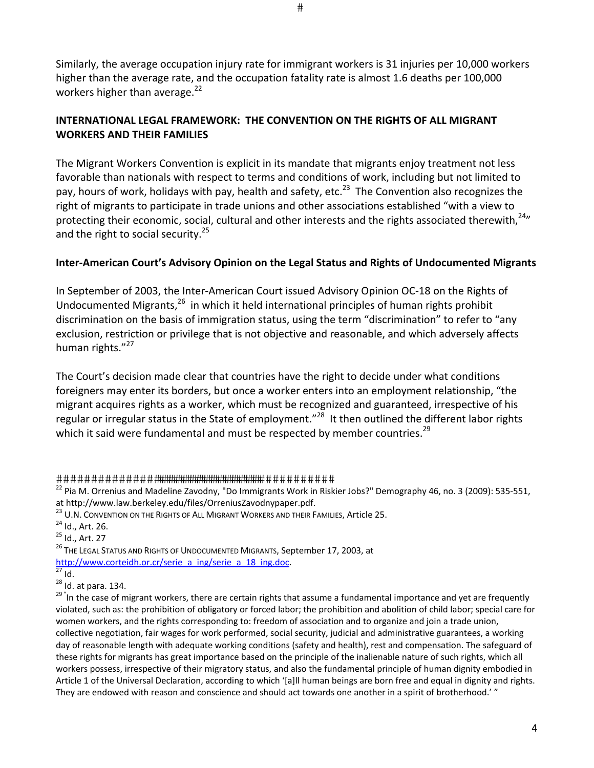Similarly, the average occupation injury rate for immigrant workers is 31 injuries per 10,000 workers higher than the average rate, and the occupation fatality rate is almost 1.6 deaths per 100,000 workers higher than average. $^{22}$ 

# **INTERNATIONAL LEGAL FRAMEWORK: THE CONVENTION ON THE RIGHTS OF ALL MIGRANT WORKERS AND THEIR FAMILIES**

The Migrant Workers Convention is explicit in its mandate that migrants enjoy treatment not less favorable than nationals with respect to terms and conditions of work, including but not limited to pay, hours of work, holidays with pay, health and safety, etc.<sup>23</sup> The Convention also recognizes the right of migrants to participate in trade unions and other associations established "with a view to protecting their economic, social, cultural and other interests and the rights associated therewith,<sup>24</sup>" and the right to social security.<sup>25</sup>

# **Inter‐American Court's Advisory Opinion on the Legal Status and Rights of Undocumented Migrants**

In September of 2003, the Inter‐American Court issued Advisory Opinion OC‐18 on the Rights of Undocumented Migrants,<sup>26</sup> in which it held international principles of human rights prohibit discrimination on the basis of immigration status, using the term "discrimination" to refer to "any exclusion, restriction or privilege that is not objective and reasonable, and which adversely affects human rights."<sup>27</sup>

The Court's decision made clear that countries have the right to decide under what conditions foreigners may enter its borders, but once a worker enters into an employment relationship, "the migrant acquires rights as a worker, which must be recognized and guaranteed, irrespective of his regular or irregular status in the State of employment."<sup>28</sup> It then outlined the different labor rights which it said were fundamental and must be respected by member countries.<sup>29</sup>

<sup>25</sup> Id., Art. 27

<sup>26</sup> THE LEGAL STATUS AND RIGHTS OF UNDOCUMENTED MIGRANTS, September 17, 2003, at http://www.corteidh.or.cr/serie\_a\_ing/serie\_a\_18\_ing.doc.

<sup>&</sup>lt;sup>22</sup> Pia M. Orrenius and Madeline Zavodny, "Do Immigrants Work in Riskier Jobs?" Demography 46, no. 3 (2009): 535-551, at http://www.law.berkeley.edu/files/OrreniusZavodnypaper.pdf.

<sup>&</sup>lt;sup>23</sup> U.N. CONVENTION ON THE RIGHTS OF ALL MIGRANT WORKERS AND THEIR FAMILIES. Article 25.

<sup>24</sup> Id., Art. 26.

 $\overline{27}$  Id.

 $^{28}$  Id. at para. 134.

<sup>&</sup>lt;sup>29 "</sup>In the case of migrant workers, there are certain rights that assume a fundamental importance and yet are frequently violated, such as: the prohibition of obligatory or forced labor; the prohibition and abolition of child labor; special care for women workers, and the rights corresponding to: freedom of association and to organize and join a trade union, collective negotiation, fair wages for work performed, social security, judicial and administrative guarantees, a working day of reasonable length with adequate working conditions (safety and health), rest and compensation. The safeguard of these rights for migrants has great importance based on the principle of the inalienable nature of such rights, which all workers possess, irrespective of their migratory status, and also the fundamental principle of human dignity embodied in Article 1 of the Universal Declaration, according to which '[a]ll human beings are born free and equal in dignity and rights. They are endowed with reason and conscience and should act towards one another in a spirit of brotherhood.' "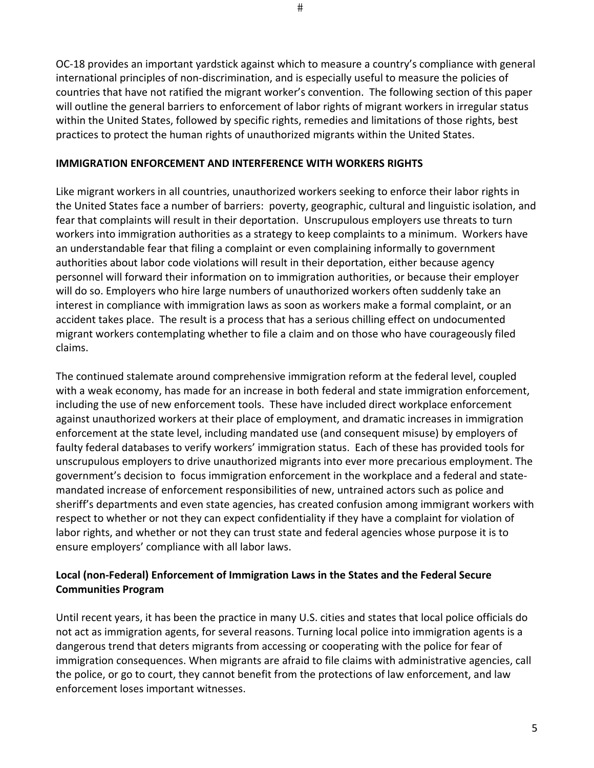$#$ 

OC‐18 provides an important yardstick against which to measure a country's compliance with general international principles of non‐discrimination, and is especially useful to measure the policies of countries that have not ratified the migrant worker's convention. The following section of this paper will outline the general barriers to enforcement of labor rights of migrant workers in irregular status within the United States, followed by specific rights, remedies and limitations of those rights, best practices to protect the human rights of unauthorized migrants within the United States.

## **IMMIGRATION ENFORCEMENT AND INTERFERENCE WITH WORKERS RIGHTS**

Like migrant workers in all countries, unauthorized workers seeking to enforce their labor rights in the United States face a number of barriers: poverty, geographic, cultural and linguistic isolation, and fear that complaints will result in their deportation. Unscrupulous employers use threats to turn workers into immigration authorities as a strategy to keep complaints to a minimum. Workers have an understandable fear that filing a complaint or even complaining informally to government authorities about labor code violations will result in their deportation, either because agency personnel will forward their information on to immigration authorities, or because their employer will do so. Employers who hire large numbers of unauthorized workers often suddenly take an interest in compliance with immigration laws as soon as workers make a formal complaint, or an accident takes place. The result is a process that has a serious chilling effect on undocumented migrant workers contemplating whether to file a claim and on those who have courageously filed claims.

The continued stalemate around comprehensive immigration reform at the federal level, coupled with a weak economy, has made for an increase in both federal and state immigration enforcement, including the use of new enforcement tools. These have included direct workplace enforcement against unauthorized workers at their place of employment, and dramatic increases in immigration enforcement at the state level, including mandated use (and consequent misuse) by employers of faulty federal databases to verify workers' immigration status. Each of these has provided tools for unscrupulous employers to drive unauthorized migrants into ever more precarious employment. The government's decision to focus immigration enforcement in the workplace and a federal and state‐ mandated increase of enforcement responsibilities of new, untrained actors such as police and sheriff's departments and even state agencies, has created confusion among immigrant workers with respect to whether or not they can expect confidentiality if they have a complaint for violation of labor rights, and whether or not they can trust state and federal agencies whose purpose it is to ensure employers' compliance with all labor laws.

# **Local (non‐Federal) Enforcement of Immigration Laws in the States and the Federal Secure Communities Program**

Until recent years, it has been the practice in many U.S. cities and states that local police officials do not act as immigration agents, for several reasons. Turning local police into immigration agents is a dangerous trend that deters migrants from accessing or cooperating with the police for fear of immigration consequences. When migrants are afraid to file claims with administrative agencies, call the police, or go to court, they cannot benefit from the protections of law enforcement, and law enforcement loses important witnesses.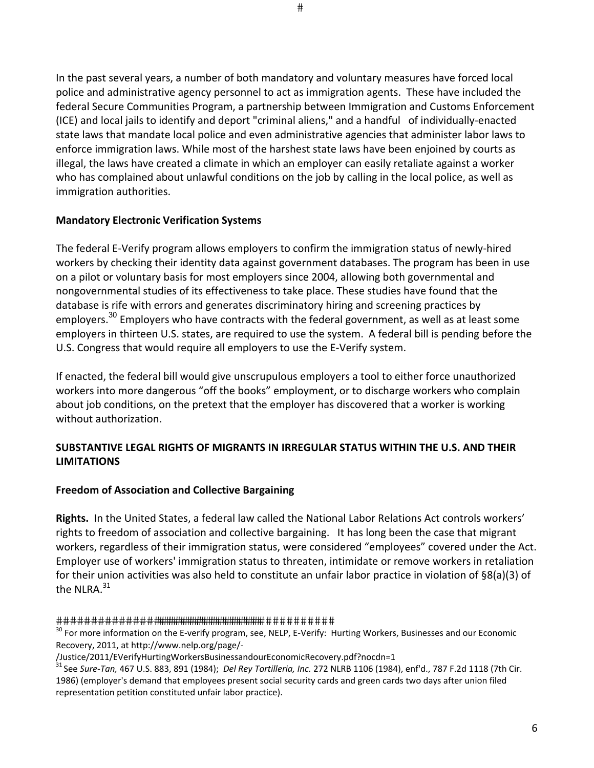In the past several years, a number of both mandatory and voluntary measures have forced local police and administrative agency personnel to act as immigration agents. These have included the federal Secure Communities Program, a partnership between Immigration and Customs Enforcement (ICE) and local jails to identify and deport "criminal aliens," and a handful of individually‐enacted state laws that mandate local police and even administrative agencies that administer labor laws to enforce immigration laws. While most of the harshest state laws have been enjoined by courts as illegal, the laws have created a climate in which an employer can easily retaliate against a worker who has complained about unlawful conditions on the job by calling in the local police, as well as immigration authorities.

### **Mandatory Electronic Verification Systems**

The federal E‐Verify program allows employers to confirm the immigration status of newly‐hired workers by checking their identity data against government databases. The program has been in use on a pilot or voluntary basis for most employers since 2004, allowing both governmental and nongovernmental studies of its effectiveness to take place. These studies have found that the database is rife with errors and generates discriminatory hiring and screening practices by employers.<sup>30</sup> Employers who have contracts with the federal government, as well as at least some employers in thirteen U.S. states, are required to use the system. A federal bill is pending before the U.S. Congress that would require all employers to use the E‐Verify system.

If enacted, the federal bill would give unscrupulous employers a tool to either force unauthorized workers into more dangerous "off the books" employment, or to discharge workers who complain about job conditions, on the pretext that the employer has discovered that a worker is working without authorization.

## **SUBSTANTIVE LEGAL RIGHTS OF MIGRANTS IN IRREGULAR STATUS WITHIN THE U.S. AND THEIR LIMITATIONS**

### **Freedom of Association and Collective Bargaining**

**Rights.** In the United States, a federal law called the National Labor Relations Act controls workers' rights to freedom of association and collective bargaining. It has long been the case that migrant workers, regardless of their immigration status, were considered "employees" covered under the Act. Employer use of workers' immigration status to threaten, intimidate or remove workers in retaliation for their union activities was also held to constitute an unfair labor practice in violation of §8(a)(3) of the NLRA. $^{\rm 31}$ 

<sup>30</sup> For more information on the E-verify program, see, NELP, E-Verify: Hurting Workers, Businesses and our Economic Recovery, 2011, at http://www.nelp.org/page/‐

<sup>/</sup>Justice/2011/EVerifyHurtingWorkersBusinessandourEconomicRecovery.pdf?nocdn=1

<sup>31</sup> See *Sure‐Tan,* 467 U.S. 883, 891 (1984); *Del Rey Tortilleria, Inc.* 272 NLRB 1106 (1984), enf'd., 787 F.2d 1118 (7th Cir. 1986) (employer's demand that employees present social security cards and green cards two days after union filed representation petition constituted unfair labor practice).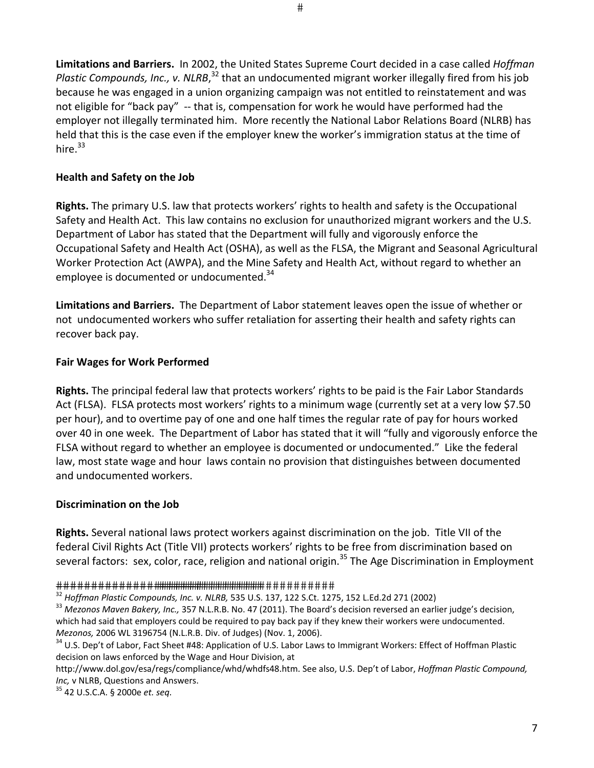**Limitations and Barriers.** In 2002, the United States Supreme Court decided in a case called *Hoffman* Plastic Compounds, Inc., v. NLRB,<sup>32</sup> that an undocumented migrant worker illegally fired from his job because he was engaged in a union organizing campaign was not entitled to reinstatement and was not eligible for "back pay" -- that is, compensation for work he would have performed had the employer not illegally terminated him. More recently the National Labor Relations Board (NLRB) has held that this is the case even if the employer knew the worker's immigration status at the time of hire. $^{33}$ 

### **Health and Safety on the Job**

**Rights.** The primary U.S. law that protects workers' rights to health and safety is the Occupational Safety and Health Act. This law contains no exclusion for unauthorized migrant workers and the U.S. Department of Labor has stated that the Department will fully and vigorously enforce the Occupational Safety and Health Act (OSHA), as well as the FLSA, the Migrant and Seasonal Agricultural Worker Protection Act (AWPA), and the Mine Safety and Health Act, without regard to whether an employee is documented or undocumented. $^{34}$ 

**Limitations and Barriers.** The Department of Labor statement leaves open the issue of whether or not undocumented workers who suffer retaliation for asserting their health and safety rights can recover back pay.

### **Fair Wages for Work Performed**

**Rights.** The principal federal law that protects workers' rights to be paid is the Fair Labor Standards Act (FLSA). FLSA protects most workers' rights to a minimum wage (currently set at a very low \$7.50 per hour), and to overtime pay of one and one half times the regular rate of pay for hours worked over 40 in one week. The Department of Labor has stated that it will "fully and vigorously enforce the FLSA without regard to whether an employee is documented or undocumented." Like the federal law, most state wage and hour laws contain no provision that distinguishes between documented and undocumented workers.

### **Discrimination on the Job**

**Rights.** Several national laws protect workers against discrimination on the job. Title VII of the federal Civil Rights Act (Title VII) protects workers' rights to be free from discrimination based on several factors: sex, color, race, religion and national origin.<sup>35</sup> The Age Discrimination in Employment

<sup>35</sup> 42 U.S.C.A. § 2000e *et. seq.*

<sup>32</sup> *Hoffman Plastic Compounds, Inc. v. NLRB,* 535 U.S. 137, 122 S.Ct. 1275, 152 L.Ed.2d 271 (2002)

<sup>33</sup> *Mezonos Maven Bakery, Inc.,* 357 N.L.R.B. No. 47 (2011). The Board's decision reversed an earlier judge's decision, which had said that employers could be required to pay back pay if they knew their workers were undocumented. *Mezonos,* 2006 WL 3196754 (N.L.R.B. Div. of Judges) (Nov. 1, 2006).

<sup>&</sup>lt;sup>34</sup> U.S. Dep't of Labor, Fact Sheet #48: Application of U.S. Labor Laws to Immigrant Workers: Effect of Hoffman Plastic decision on laws enforced by the Wage and Hour Division, at

http://www.dol.gov/esa/regs/compliance/whd/whdfs48.htm. See also, U.S. Dep't of Labor, *Hoffman Plastic Compound, Inc,* v NLRB, Questions and Answers.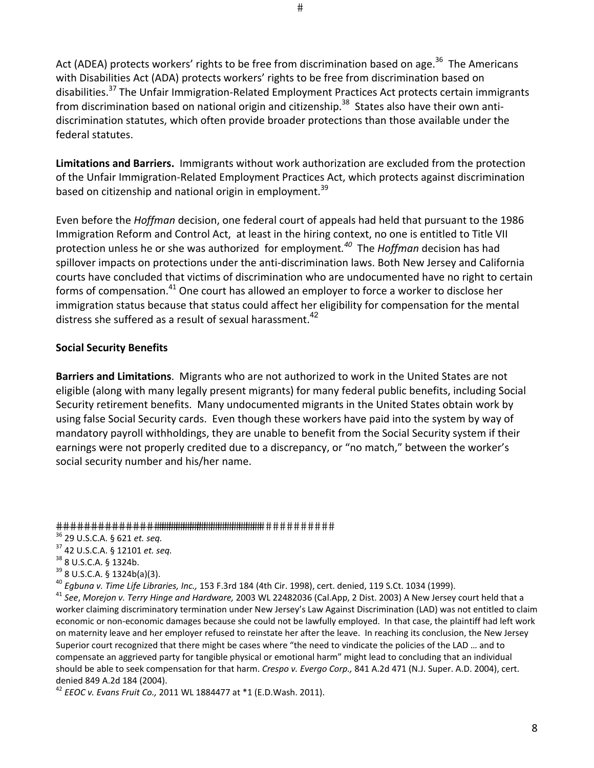#

Act (ADEA) protects workers' rights to be free from discrimination based on age.<sup>36</sup> The Americans with Disabilities Act (ADA) protects workers' rights to be free from discrimination based on disabilities.<sup>37</sup> The Unfair Immigration-Related Employment Practices Act protects certain immigrants from discrimination based on national origin and citizenship.<sup>38</sup> States also have their own antidiscrimination statutes, which often provide broader protections than those available under the federal statutes.

**Limitations and Barriers.** Immigrants without work authorization are excluded from the protection of the Unfair Immigration‐Related Employment Practices Act, which protects against discrimination based on citizenship and national origin in employment.<sup>39</sup>

Even before the *Hoffman* decision, one federal court of appeals had held that pursuant to the 1986 Immigration Reform and Control Act, at least in the hiring context, no one is entitled to Title VII protection unless he or she was authorized for employment*. 40* The *Hoffman* decision has had spillover impacts on protections under the anti-discrimination laws. Both New Jersey and California courts have concluded that victims of discrimination who are undocumented have no right to certain forms of compensation.<sup>41</sup> One court has allowed an employer to force a worker to disclose her immigration status because that status could affect her eligibility for compensation for the mental distress she suffered as a result of sexual harassment.<sup>42</sup>

## **Social Security Benefits**

**Barriers and Limitations**. Migrants who are not authorized to work in the United States are not eligible (along with many legally present migrants) for many federal public benefits, including Social Security retirement benefits. Many undocumented migrants in the United States obtain work by using false Social Security cards. Even though these workers have paid into the system by way of mandatory payroll withholdings, they are unable to benefit from the Social Security system if their earnings were not properly credited due to a discrepancy, or "no match," between the worker's social security number and his/her name.

#### 

<sup>37</sup> 42 U.S.C.A. § 12101 *et. seq.*

<sup>40</sup> *Egbuna v. Time Life Libraries, Inc.,* 153 F.3rd 184 (4th Cir. 1998), cert. denied, 119 S.Ct. 1034 (1999).

<sup>41</sup> *See*, *Morejon v. Terry Hinge and Hardware,* 2003 WL 22482036 (Cal.App, 2 Dist. 2003) A New Jersey court held that a worker claiming discriminatory termination under New Jersey's Law Against Discrimination (LAD) was not entitled to claim economic or non-economic damages because she could not be lawfully employed. In that case, the plaintiff had left work on maternity leave and her employer refused to reinstate her after the leave. In reaching its conclusion, the New Jersey Superior court recognized that there might be cases where "the need to vindicate the policies of the LAD … and to compensate an aggrieved party for tangible physical or emotional harm" might lead to concluding that an individual should be able to seek compensation for that harm. *Crespo v. Evergo Corp.,* 841 A.2d 471 (N.J. Super. A.D. 2004), cert. denied 849 A.2d 184 (2004).

<sup>42</sup> *EEOC v. Evans Fruit Co.,* 2011 WL 1884477 at \*1 (E.D.Wash. 2011).

<sup>36</sup> 29 U.S.C.A. § 621 *et. seq.*

<sup>38</sup> 8 U.S.C.A. § 1324b.

<sup>39</sup> 8 U.S.C.A. § 1324b(a)(3).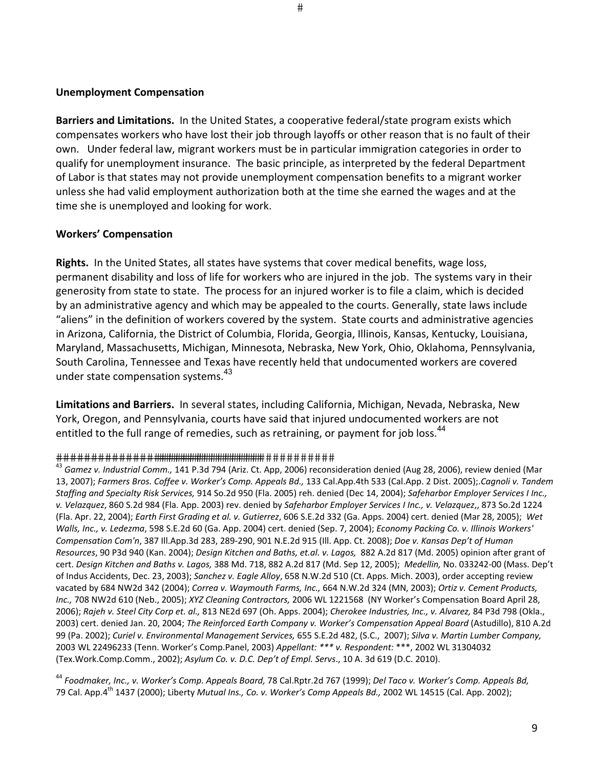#### **Unemployment Compensation**

**Barriers and Limitations.** In the United States, a cooperative federal/state program exists which compensates workers who have lost their job through layoffs or other reason that is no fault of their own. Under federal law, migrant workers must be in particular immigration categories in order to qualify for unemployment insurance. The basic principle, as interpreted by the federal Department of Labor is that states may not provide unemployment compensation benefits to a migrant worker unless she had valid employment authorization both at the time she earned the wages and at the time she is unemployed and looking for work.

### **Workers' Compensation**

**Rights.** In the United States, all states have systems that cover medical benefits, wage loss, permanent disability and loss of life for workers who are injured in the job. The systems vary in their generosity from state to state. The process for an injured worker is to file a claim, which is decided by an administrative agency and which may be appealed to the courts. Generally, state laws include "aliens" in the definition of workers covered by the system. State courts and administrative agencies in Arizona, California, the District of Columbia, Florida, Georgia, Illinois, Kansas, Kentucky, Louisiana, Maryland, Massachusetts, Michigan, Minnesota, Nebraska, New York, Ohio, Oklahoma, Pennsylvania, South Carolina, Tennessee and Texas have recently held that undocumented workers are covered under state compensation systems.<sup>43</sup>

**Limitations and Barriers.** In several states, including California, Michigan, Nevada, Nebraska, New York, Oregon, and Pennsylvania, courts have said that injured undocumented workers are not entitled to the full range of remedies, such as retraining, or payment for job loss.<sup>44</sup>

#### 

<sup>44</sup> *Foodmaker, Inc., v. Worker's Comp. Appeals Board,* 78 Cal.Rptr.2d 767 (1999); *Del Taco v. Worker's Comp. Appeals Bd,* 79 Cal. App.4th 1437 (2000); Liberty *Mutual Ins., Co. v. Worker's Comp Appeals Bd.,* 2002 WL 14515 (Cal. App. 2002);

<sup>43</sup> *Gamez v. Industrial Comm.,* 141 P.3d 794 (Ariz. Ct. App, 2006) reconsideration denied (Aug 28, 2006), review denied (Mar 13, 2007); *Farmers Bros. Coffee v. Worker's Comp. Appeals Bd.,* 133 Cal.App.4th 533 (Cal.App. 2 Dist. 2005);.*Cagnoli v. Tandem Staffing and Specialty Risk Services,* 914 So.2d 950 (Fla. 2005) reh. denied (Dec 14, 2004); *Safeharbor Employer Services I Inc., v. Velazquez*, 860 S.2d 984 (Fla. App. 2003) rev. denied by *Safeharbor Employer Services I Inc., v. Velazquez*,, 873 So.2d 1224 (Fla. Apr. 22, 2004); *Earth First Grading et al. v. Gutierrez*, 606 S.E.2d 332 (Ga. Apps. 2004) cert. denied (Mar 28, 2005); *Wet Walls, Inc., v. Ledezma*, 598 S.E.2d 60 (Ga. App. 2004) cert. denied (Sep. 7, 2004); *Economy Packing Co. v. Illinois Workers' Compensation Com'n*, 387 Ill.App.3d 283, 289‐290, 901 N.E.2d 915 (Ill. App. Ct. 2008); *Doe v. Kansas Dep't of Human Resources*, 90 P3d 940 (Kan. 2004); *Design Kitchen and Baths, et.al. v. Lagos,* 882 A.2d 817 (Md. 2005) opinion after grant of cert. *Design Kitchen and Baths v. Lagos,* 388 Md. 718, 882 A.2d 817 (Md. Sep 12, 2005); *Medellin,* No. 033242‐00 (Mass. Dep't of Indus Accidents, Dec. 23, 2003); *Sanchez v. Eagle Alloy*, 658 N.W.2d 510 (Ct. Apps. Mich. 2003), order accepting review vacated by 684 NW2d 342 (2004); *Correa v. Waymouth Farms, Inc.,* 664 N.W.2d 324 (MN, 2003); *Ortiz v. Cement Products, Inc.,* 708 NW2d 610 (Neb., 2005); *XYZ Cleaning Contractors,* 2006 WL 1221568 (NY Worker's Compensation Board April 28, 2006); *Rajeh v. Steel City Corp et. al.,* 813 NE2d 697 (Oh. Apps. 2004); *Cherokee Industries, Inc., v. Alvarez,* 84 P3d 798 (Okla., 2003) cert. denied Jan. 20, 2004; *The Reinforced Earth Company v. Worker's Compensation Appeal Board* (Astudillo), 810 A.2d 99 (Pa. 2002); *Curiel v. Environmental Management Services,* 655 S.E.2d 482, (S.C., 2007); *Silva v. Martin Lumber Company,* 2003 WL 22496233 (Tenn. Worker's Comp.Panel, 2003) *Appellant: \*\*\* v. Respondent:* \*\*\*, 2002 WL 31304032 (Tex.Work.Comp.Comm., 2002); *Asylum Co. v. D.C. Dep't of Empl. Servs*., 10 A. 3d 619 (D.C. 2010).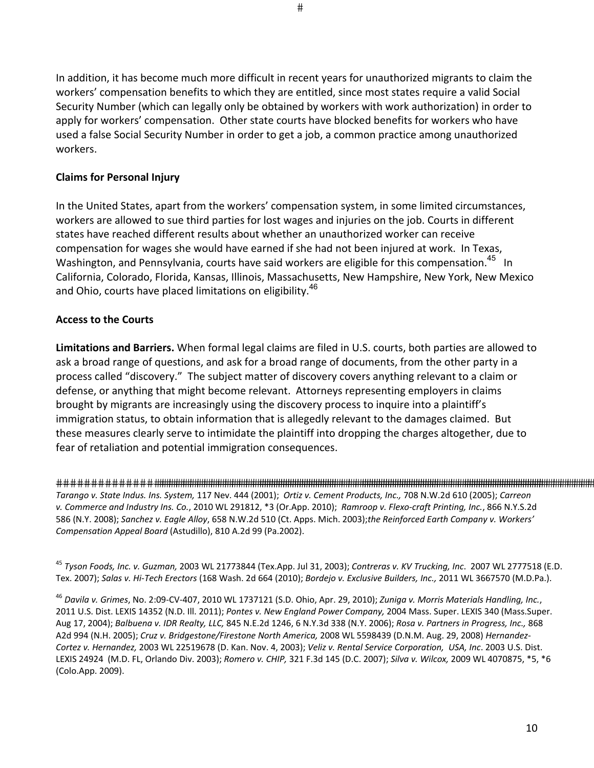In addition, it has become much more difficult in recent years for unauthorized migrants to claim the workers' compensation benefits to which they are entitled, since most states require a valid Social Security Number (which can legally only be obtained by workers with work authorization) in order to apply for workers' compensation. Other state courts have blocked benefits for workers who have used a false Social Security Number in order to get a job, a common practice among unauthorized workers.

## **Claims for Personal Injury**

In the United States, apart from the workers' compensation system, in some limited circumstances, workers are allowed to sue third parties for lost wages and injuries on the job. Courts in different states have reached different results about whether an unauthorized worker can receive compensation for wages she would have earned if she had not been injured at work. In Texas, Washington, and Pennsylvania, courts have said workers are eligible for this compensation.<sup>45</sup> In California, Colorado, Florida, Kansas, Illinois, Massachusetts, New Hampshire, New York, New Mexico and Ohio, courts have placed limitations on eligibility.<sup>46</sup>

# **Access to the Courts**

**Limitations and Barriers.** When formal legal claims are filed in U.S. courts, both parties are allowed to ask a broad range of questions, and ask for a broad range of documents, from the other party in a process called "discovery." The subject matter of discovery covers anything relevant to a claim or defense, or anything that might become relevant. Attorneys representing employers in claims brought by migrants are increasingly using the discovery process to inquire into a plaintiff's immigration status, to obtain information that is allegedly relevant to the damages claimed. But these measures clearly serve to intimidate the plaintiff into dropping the charges altogether, due to fear of retaliation and potential immigration consequences.

 *Tarango v. State Indus. Ins. System,* 117 Nev. 444 (2001); *Ortiz v. Cement Products, Inc.,* 708 N.W.2d 610 (2005); *Carreon v. Commerce and Industry Ins. Co.*, 2010 WL 291812, \*3 (Or.App. 2010); *Ramroop v. Flexo‐craft Printing, Inc.*, 866 N.Y.S.2d 586 (N.Y. 2008); *Sanchez v. Eagle Alloy*, 658 N.W.2d 510 (Ct. Apps. Mich. 2003);*the Reinforced Earth Company v. Workers' Compensation Appeal Board* (Astudillo), 810 A.2d 99 (Pa.2002).

<sup>45</sup> *Tyson Foods, Inc. v. Guzman,* 2003 WL 21773844 (Tex.App. Jul 31, 2003); *Contreras v. KV Trucking, Inc*. 2007 WL 2777518 (E.D. Tex. 2007); *Salas v. Hi‐Tech Erectors* (168 Wash. 2d 664 (2010); *Bordejo v. Exclusive Builders, Inc.,* 2011 WL 3667570 (M.D.Pa.).

<sup>46</sup> *Davila v. Grimes*, No. 2:09‐CV‐407, 2010 WL 1737121 (S.D. Ohio, Apr. 29, 2010); *Zuniga v. Morris Materials Handling, Inc.*, 2011 U.S. Dist. LEXIS 14352 (N.D. Ill. 2011); *Pontes v. New England Power Company,* 2004 Mass. Super. LEXIS 340 (Mass.Super. Aug 17, 2004); *Balbuena v. IDR Realty, LLC,* 845 N.E.2d 1246, 6 N.Y.3d 338 (N.Y. 2006); *Rosa v. Partners in Progress, Inc.,* 868 A2d 994 (N.H. 2005); *Cruz v. Bridgestone/Firestone North America,* 2008 WL 5598439 (D.N.M. Aug. 29, 2008) *Hernandez‐ Cortez v. Hernandez,* 2003 WL 22519678 (D. Kan. Nov. 4, 2003); *Veliz v. Rental Service Corporation, USA, Inc*. 2003 U.S. Dist. LEXIS 24924 (M.D. FL, Orlando Div. 2003); *Romero v. CHIP,* 321 F.3d 145 (D.C. 2007); *Silva v. Wilcox,* 2009 WL 4070875, \*5, \*6 (Colo.App. 2009).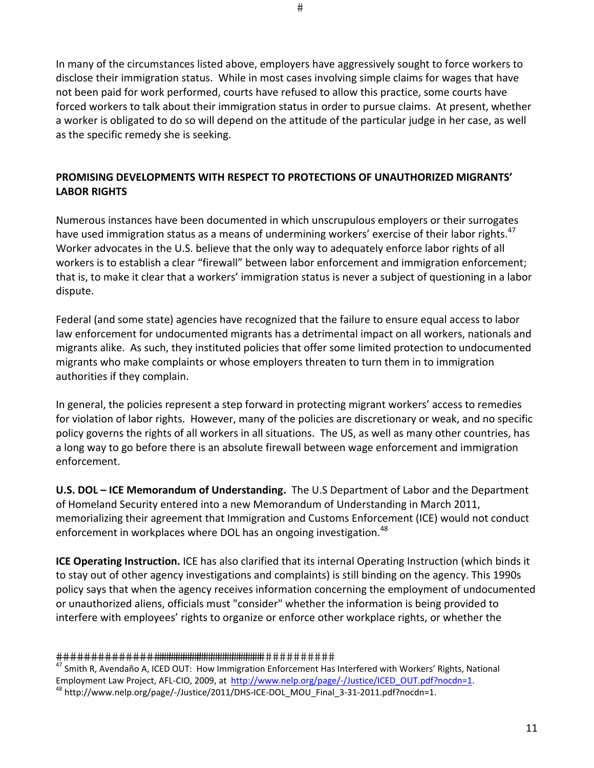In many of the circumstances listed above, employers have aggressively sought to force workers to disclose their immigration status. While in most cases involving simple claims for wages that have not been paid for work performed, courts have refused to allow this practice, some courts have forced workers to talk about their immigration status in order to pursue claims. At present, whether a worker is obligated to do so will depend on the attitude of the particular judge in her case, as well as the specific remedy she is seeking.

# **PROMISING DEVELOPMENTS WITH RESPECT TO PROTECTIONS OF UNAUTHORIZED MIGRANTS' LABOR RIGHTS**

Numerous instances have been documented in which unscrupulous employers or their surrogates have used immigration status as a means of undermining workers' exercise of their labor rights. $^{47}$ Worker advocates in the U.S. believe that the only way to adequately enforce labor rights of all workers is to establish a clear "firewall" between labor enforcement and immigration enforcement; that is, to make it clear that a workers' immigration status is never a subject of questioning in a labor dispute.

Federal (and some state) agencies have recognized that the failure to ensure equal access to labor law enforcement for undocumented migrants has a detrimental impact on all workers, nationals and migrants alike. As such, they instituted policies that offer some limited protection to undocumented migrants who make complaints or whose employers threaten to turn them in to immigration authorities if they complain.

In general, the policies represent a step forward in protecting migrant workers' access to remedies for violation of labor rights. However, many of the policies are discretionary or weak, and no specific policy governs the rights of all workers in all situations. The US, as well as many other countries, has a long way to go before there is an absolute firewall between wage enforcement and immigration enforcement.

**U.S. DOL – ICE Memorandum of Understanding.** The U.S Department of Labor and the Department of Homeland Security entered into a new Memorandum of Understanding in March 2011, memorializing their agreement that Immigration and Customs Enforcement (ICE) would not conduct enforcement in workplaces where DOL has an ongoing investigation. $^{48}$ 

**ICE Operating Instruction.** ICE has also clarified that its internal Operating Instruction (which binds it to stay out of other agency investigations and complaints) is still binding on the agency. This 1990s policy says that when the agency receives information concerning the employment of undocumented or unauthorized aliens, officials must "consider" whether the information is being provided to interfere with employees' rights to organize or enforce other workplace rights, or whether the

#### 

<sup>47</sup> Smith R, Avendaño A, ICED OUT: How Immigration Enforcement Has Interfered with Workers' Rights, National Employment Law Project, AFL‐CIO, 2009, at http://www.nelp.org/page/‐/Justice/ICED\_OUT.pdf?nocdn=1. <sup>48</sup> http://www.nelp.org/page/-/Justice/2011/DHS-ICE-DOL\_MOU\_Final\_3-31-2011.pdf?nocdn=1.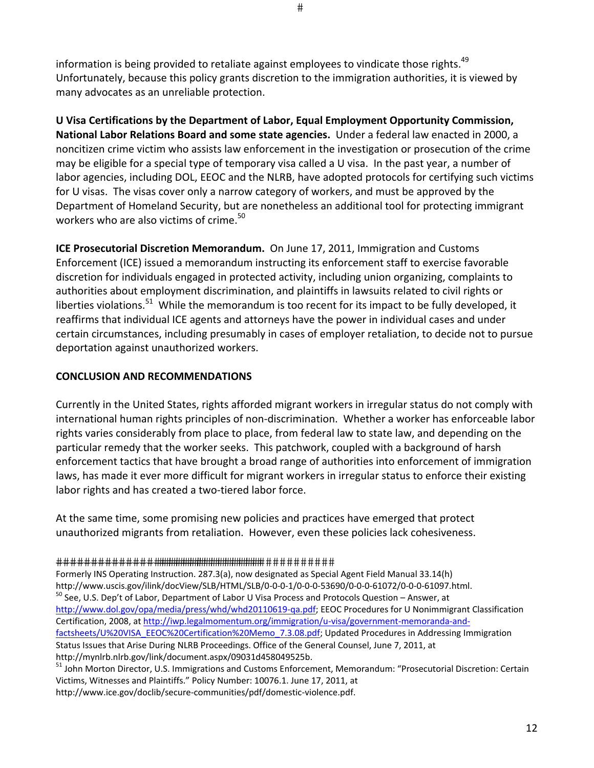information is being provided to retaliate against employees to vindicate those rights.<sup>49</sup> Unfortunately, because this policy grants discretion to the immigration authorities, it is viewed by many advocates as an unreliable protection.

**U Visa Certifications by the Department of Labor, Equal Employment Opportunity Commission, National Labor Relations Board and some state agencies.** Under a federal law enacted in 2000, a noncitizen crime victim who assists law enforcement in the investigation or prosecution of the crime may be eligible for a special type of temporary visa called a U visa. In the past year, a number of labor agencies, including DOL, EEOC and the NLRB, have adopted protocols for certifying such victims for U visas. The visas cover only a narrow category of workers, and must be approved by the Department of Homeland Security, but are nonetheless an additional tool for protecting immigrant workers who are also victims of crime.<sup>50</sup>

**ICE Prosecutorial Discretion Memorandum.** On June 17, 2011, Immigration and Customs Enforcement (ICE) issued a memorandum instructing its enforcement staff to exercise favorable discretion for individuals engaged in protected activity, including union organizing, complaints to authorities about employment discrimination, and plaintiffs in lawsuits related to civil rights or liberties violations.<sup>51</sup> While the memorandum is too recent for its impact to be fully developed, it reaffirms that individual ICE agents and attorneys have the power in individual cases and under certain circumstances, including presumably in cases of employer retaliation, to decide not to pursue deportation against unauthorized workers.

# **CONCLUSION AND RECOMMENDATIONS**

Currently in the United States, rights afforded migrant workers in irregular status do not comply with international human rights principles of non‐discrimination. Whether a worker has enforceable labor rights varies considerably from place to place, from federal law to state law, and depending on the particular remedy that the worker seeks. This patchwork, coupled with a background of harsh enforcement tactics that have brought a broad range of authorities into enforcement of immigration laws, has made it ever more difficult for migrant workers in irregular status to enforce their existing labor rights and has created a two-tiered labor force.

At the same time, some promising new policies and practices have emerged that protect unauthorized migrants from retaliation. However, even these policies lack cohesiveness.

Formerly INS Operating Instruction. 287.3(a), now designated as Special Agent Field Manual 33.14(h) http://www.uscis.gov/ilink/docView/SLB/HTML/SLB/0‐0‐0‐1/0‐0‐0‐53690/0‐0‐0‐61072/0‐0‐0‐61097.html. <sup>50</sup> See, U.S. Dep't of Labor, Department of Labor U Visa Process and Protocols Question – Answer, at http://www.dol.gov/opa/media/press/whd/whd20110619‐qa.pdf; EEOC Procedures for U Nonimmigrant Classification Certification, 2008, at http://iwp.legalmomentum.org/immigration/u-visa/government-memoranda-andfactsheets/U%20VISA\_EEOC%20Certification%20Memo\_7.3.08.pdf; Updated Procedures in Addressing Immigration Status Issues that Arise During NLRB Proceedings. Office of the General Counsel, June 7, 2011, at http://mynlrb.nlrb.gov/link/document.aspx/09031d458049525b.

<sup>51</sup> John Morton Director, U.S. Immigrations and Customs Enforcement, Memorandum: "Prosecutorial Discretion: Certain Victims, Witnesses and Plaintiffs." Policy Number: 10076.1. June 17, 2011, at

http://www.ice.gov/doclib/secure‐communities/pdf/domestic‐violence.pdf.